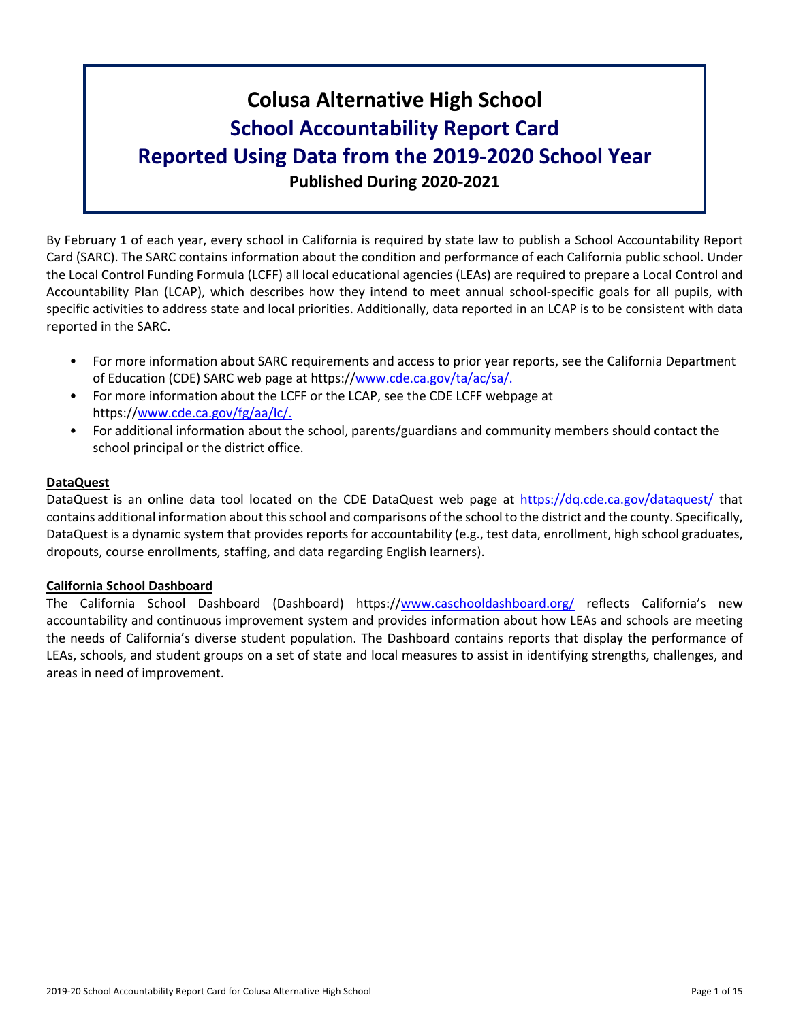# **Colusa Alternative High School School Accountability Report Card Reported Using Data from the 2019-2020 School Year Published During 2020-2021**

By February 1 of each year, every school in California is required by state law to publish a School Accountability Report Card (SARC). The SARC contains information about the condition and performance of each California public school. Under the Local Control Funding Formula (LCFF) all local educational agencies (LEAs) are required to prepare a Local Control and Accountability Plan (LCAP), which describes how they intend to meet annual school-specific goals for all pupils, with specific activities to address state and local priorities. Additionally, data reported in an LCAP is to be consistent with data reported in the SARC.

- For more information about SARC requirements and access to prior year reports, see the California Department of Education (CDE) SARC web page at https://[www.cde.ca.gov/ta/ac/sa/.](https://www.cde.ca.gov/ta/ac/sa/)
- For more information about the LCFF or the LCAP, see the CDE LCFF webpage at https://[www.cde.ca.gov/fg/aa/lc/.](https://www.cde.ca.gov/fg/aa/lc/)
- For additional information about the school, parents/guardians and community members should contact the school principal or the district office.

## **DataQuest**

DataQuest is an online data tool located on the CDE DataQuest web page at <https://dq.cde.ca.gov/dataquest/> that contains additional information about thisschool and comparisons of the school to the district and the county. Specifically, DataQuest is a dynamic system that provides reports for accountability (e.g., test data, enrollment, high school graduates, dropouts, course enrollments, staffing, and data regarding English learners).

#### **California School Dashboard**

The California School Dashboard (Dashboard) https://[www.caschooldashboard.org/](https://www.caschooldashboard.org/) reflects California's new accountability and continuous improvement system and provides information about how LEAs and schools are meeting the needs of California's diverse student population. The Dashboard contains reports that display the performance of LEAs, schools, and student groups on a set of state and local measures to assist in identifying strengths, challenges, and areas in need of improvement.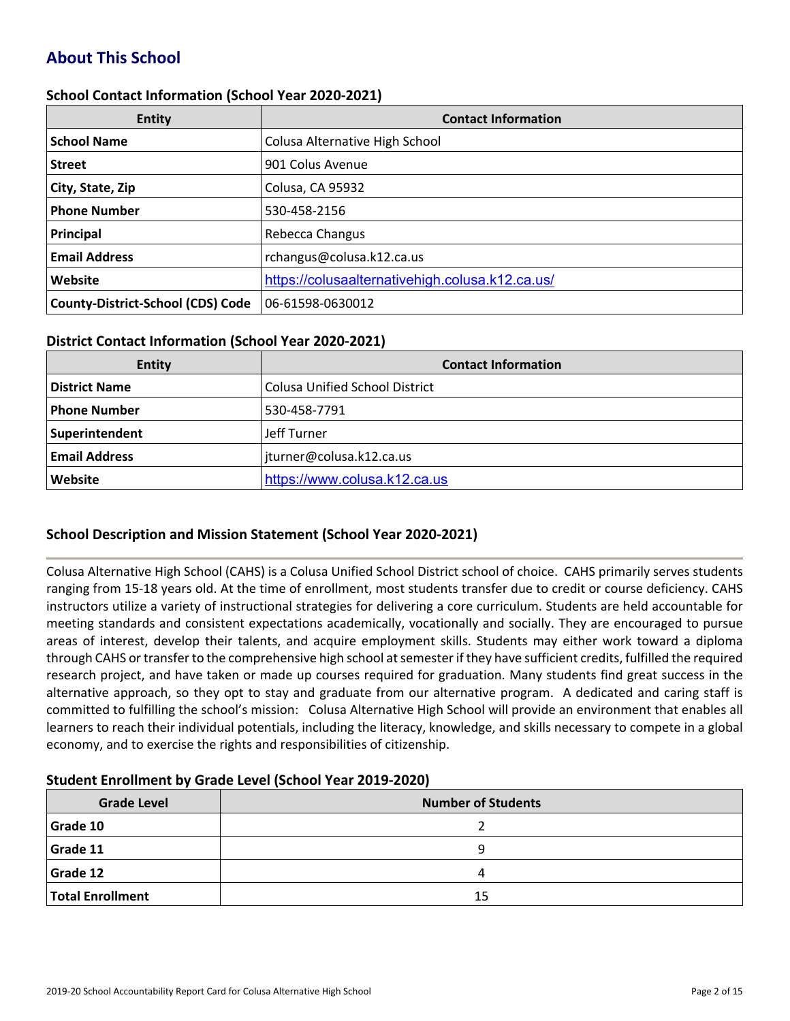# **About This School**

#### **School Contact Information (School Year 2020-2021)**

| <b>Entity</b>                            | <b>Contact Information</b>                      |  |  |  |  |
|------------------------------------------|-------------------------------------------------|--|--|--|--|
| <b>School Name</b>                       | Colusa Alternative High School                  |  |  |  |  |
| <b>Street</b>                            | 901 Colus Avenue                                |  |  |  |  |
| City, State, Zip                         | Colusa, CA 95932                                |  |  |  |  |
| <b>Phone Number</b>                      | 530-458-2156                                    |  |  |  |  |
| Principal                                | Rebecca Changus                                 |  |  |  |  |
| <b>Email Address</b>                     | rchangus@colusa.k12.ca.us                       |  |  |  |  |
| Website                                  | https://colusaalternativehigh.colusa.k12.ca.us/ |  |  |  |  |
| <b>County-District-School (CDS) Code</b> | 06-61598-0630012                                |  |  |  |  |

## **District Contact Information (School Year 2020-2021)**

| Entity               | <b>Contact Information</b>            |  |  |  |  |
|----------------------|---------------------------------------|--|--|--|--|
| <b>District Name</b> | <b>Colusa Unified School District</b> |  |  |  |  |
| <b>Phone Number</b>  | 530-458-7791                          |  |  |  |  |
| Superintendent       | Jeff Turner                           |  |  |  |  |
| <b>Email Address</b> | jturner@colusa.k12.ca.us              |  |  |  |  |
| Website              | https://www.colusa.k12.ca.us          |  |  |  |  |

## **School Description and Mission Statement (School Year 2020-2021)**

Colusa Alternative High School (CAHS) is a Colusa Unified School District school of choice. CAHS primarily serves students ranging from 15-18 years old. At the time of enrollment, most students transfer due to credit or course deficiency. CAHS instructors utilize a variety of instructional strategies for delivering a core curriculum. Students are held accountable for meeting standards and consistent expectations academically, vocationally and socially. They are encouraged to pursue areas of interest, develop their talents, and acquire employment skills. Students may either work toward a diploma through CAHS or transfer to the comprehensive high school at semester if they have sufficient credits, fulfilled the required research project, and have taken or made up courses required for graduation. Many students find great success in the alternative approach, so they opt to stay and graduate from our alternative program. A dedicated and caring staff is committed to fulfilling the school's mission: Colusa Alternative High School will provide an environment that enables all learners to reach their individual potentials, including the literacy, knowledge, and skills necessary to compete in a global economy, and to exercise the rights and responsibilities of citizenship.

#### **Student Enrollment by Grade Level (School Year 2019-2020)**

| <b>Grade Level</b>      | <b>Number of Students</b> |
|-------------------------|---------------------------|
| Grade 10                |                           |
| Grade 11                | a                         |
| Grade 12                | 4                         |
| <b>Total Enrollment</b> | 15                        |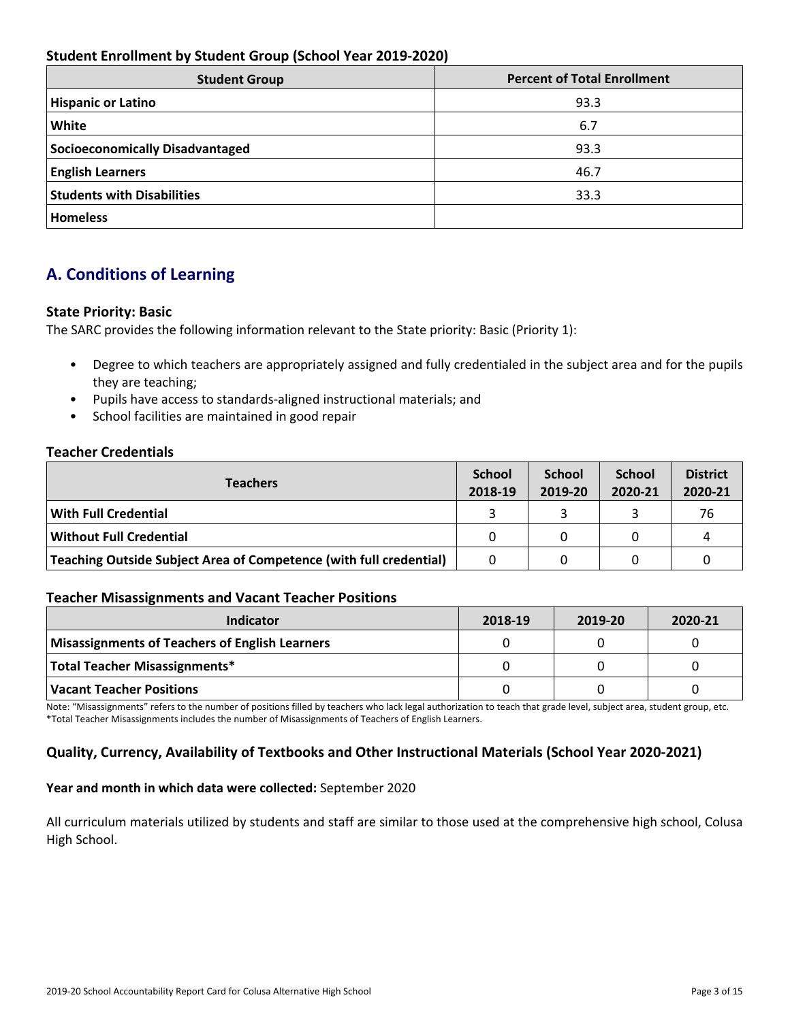## **Student Enrollment by Student Group (School Year 2019-2020)**

| <b>Student Group</b>              | <b>Percent of Total Enrollment</b> |  |  |
|-----------------------------------|------------------------------------|--|--|
| <b>Hispanic or Latino</b>         | 93.3                               |  |  |
| <b>White</b>                      | 6.7                                |  |  |
| Socioeconomically Disadvantaged   | 93.3                               |  |  |
| <b>English Learners</b>           | 46.7                               |  |  |
| <b>Students with Disabilities</b> | 33.3                               |  |  |
| <b>Homeless</b>                   |                                    |  |  |

# **A. Conditions of Learning**

## **State Priority: Basic**

The SARC provides the following information relevant to the State priority: Basic (Priority 1):

- Degree to which teachers are appropriately assigned and fully credentialed in the subject area and for the pupils they are teaching;
- Pupils have access to standards-aligned instructional materials; and
- School facilities are maintained in good repair

## **Teacher Credentials**

| <b>Teachers</b>                                                    |  | <b>School</b><br>2019-20 | <b>School</b><br>2020-21 | <b>District</b><br>2020-21 |
|--------------------------------------------------------------------|--|--------------------------|--------------------------|----------------------------|
| $\mid$ With Full Credential                                        |  |                          |                          | 76                         |
| Without Full Credential                                            |  | O                        |                          | Δ                          |
| Teaching Outside Subject Area of Competence (with full credential) |  |                          |                          |                            |

#### **Teacher Misassignments and Vacant Teacher Positions**

| Indicator                                             | 2018-19 | 2019-20 | 2020-21 |
|-------------------------------------------------------|---------|---------|---------|
| <b>Misassignments of Teachers of English Learners</b> |         |         |         |
| Total Teacher Misassignments*                         |         |         |         |
| <b>Vacant Teacher Positions</b>                       |         |         |         |

Note: "Misassignments" refers to the number of positions filled by teachers who lack legal authorization to teach that grade level, subject area, student group, etc. \*Total Teacher Misassignments includes the number of Misassignments of Teachers of English Learners.

## **Quality, Currency, Availability of Textbooks and Other Instructional Materials (School Year 2020-2021)**

#### **Year and month in which data were collected:** September 2020

All curriculum materials utilized by students and staff are similar to those used at the comprehensive high school, Colusa High School.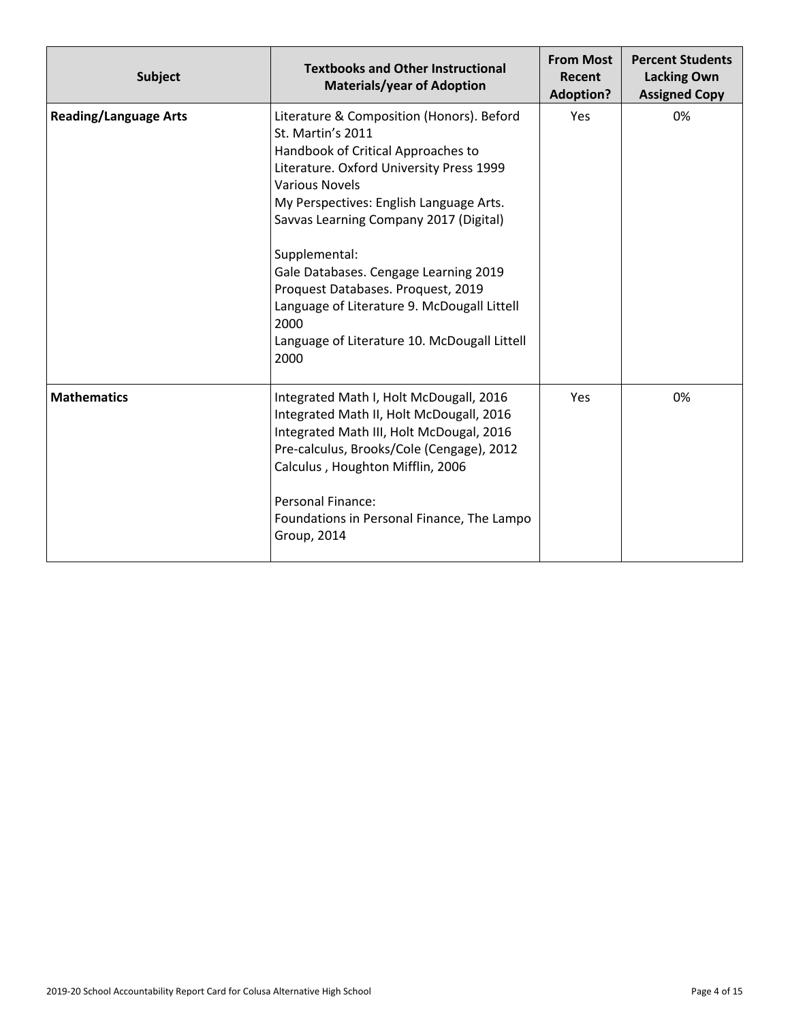| <b>Subject</b>               | <b>Textbooks and Other Instructional</b><br><b>Materials/year of Adoption</b>                                                                                                                                                                                                                                                                                                                                                                                                 | <b>From Most</b><br>Recent<br><b>Adoption?</b> | <b>Percent Students</b><br><b>Lacking Own</b><br><b>Assigned Copy</b> |
|------------------------------|-------------------------------------------------------------------------------------------------------------------------------------------------------------------------------------------------------------------------------------------------------------------------------------------------------------------------------------------------------------------------------------------------------------------------------------------------------------------------------|------------------------------------------------|-----------------------------------------------------------------------|
| <b>Reading/Language Arts</b> | Literature & Composition (Honors). Beford<br>St. Martin's 2011<br>Handbook of Critical Approaches to<br>Literature. Oxford University Press 1999<br><b>Various Novels</b><br>My Perspectives: English Language Arts.<br>Savvas Learning Company 2017 (Digital)<br>Supplemental:<br>Gale Databases. Cengage Learning 2019<br>Proquest Databases. Proquest, 2019<br>Language of Literature 9. McDougall Littell<br>2000<br>Language of Literature 10. McDougall Littell<br>2000 | Yes                                            | 0%                                                                    |
| <b>Mathematics</b>           | Integrated Math I, Holt McDougall, 2016<br>Integrated Math II, Holt McDougall, 2016<br>Integrated Math III, Holt McDougal, 2016<br>Pre-calculus, Brooks/Cole (Cengage), 2012<br>Calculus, Houghton Mifflin, 2006<br><b>Personal Finance:</b><br>Foundations in Personal Finance, The Lampo<br><b>Group, 2014</b>                                                                                                                                                              | Yes                                            | 0%                                                                    |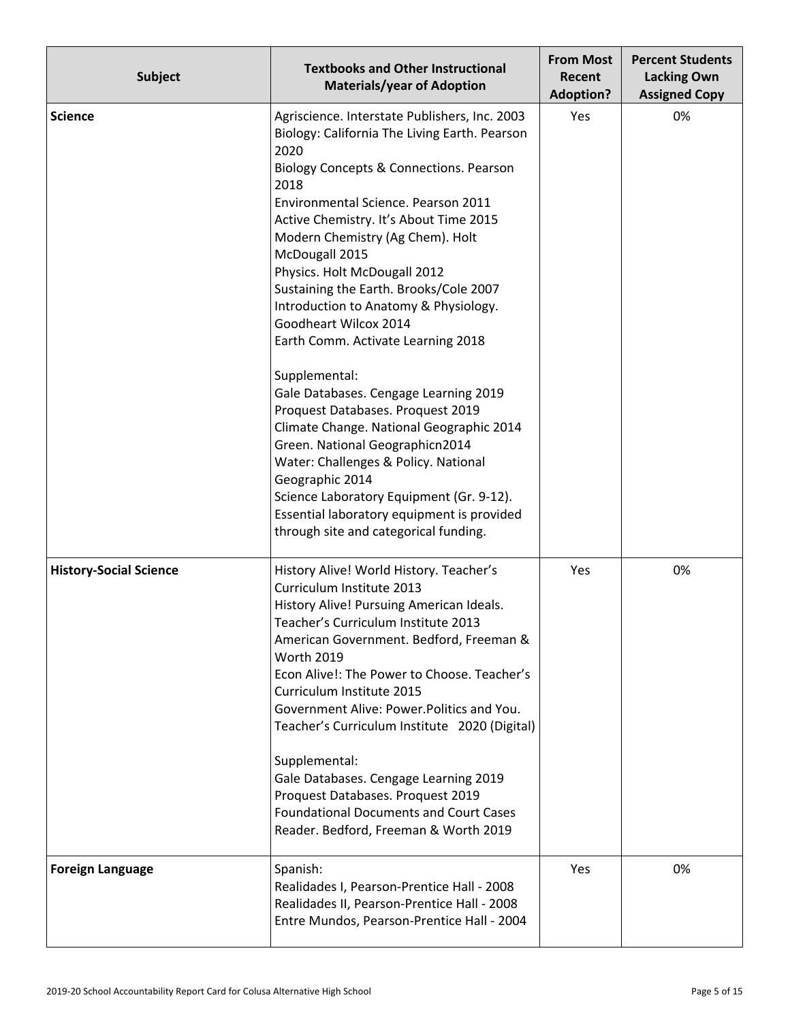| <b>Subject</b>                | <b>Textbooks and Other Instructional</b><br><b>Materials/year of Adoption</b>                                                                                                                                                                                                                                                                                                                                                                                                                                                                                                                                                                                                                                                                                                                                                                                  | <b>From Most</b><br>Recent<br><b>Adoption?</b> | <b>Percent Students</b><br><b>Lacking Own</b><br><b>Assigned Copy</b> |  |
|-------------------------------|----------------------------------------------------------------------------------------------------------------------------------------------------------------------------------------------------------------------------------------------------------------------------------------------------------------------------------------------------------------------------------------------------------------------------------------------------------------------------------------------------------------------------------------------------------------------------------------------------------------------------------------------------------------------------------------------------------------------------------------------------------------------------------------------------------------------------------------------------------------|------------------------------------------------|-----------------------------------------------------------------------|--|
| <b>Science</b>                | Agriscience. Interstate Publishers, Inc. 2003<br>Biology: California The Living Earth. Pearson<br>2020<br>Biology Concepts & Connections. Pearson<br>2018<br>Environmental Science. Pearson 2011<br>Active Chemistry. It's About Time 2015<br>Modern Chemistry (Ag Chem). Holt<br>McDougall 2015<br>Physics. Holt McDougall 2012<br>Sustaining the Earth. Brooks/Cole 2007<br>Introduction to Anatomy & Physiology.<br>Goodheart Wilcox 2014<br>Earth Comm. Activate Learning 2018<br>Supplemental:<br>Gale Databases. Cengage Learning 2019<br>Proquest Databases. Proquest 2019<br>Climate Change. National Geographic 2014<br>Green. National Geographicn2014<br>Water: Challenges & Policy. National<br>Geographic 2014<br>Science Laboratory Equipment (Gr. 9-12).<br>Essential laboratory equipment is provided<br>through site and categorical funding. | Yes                                            | 0%                                                                    |  |
| <b>History-Social Science</b> | History Alive! World History. Teacher's<br>Curriculum Institute 2013<br>History Alive! Pursuing American Ideals.<br>Teacher's Curriculum Institute 2013<br>American Government. Bedford, Freeman &<br><b>Worth 2019</b><br>Econ Alive!: The Power to Choose. Teacher's<br>Curriculum Institute 2015<br>Government Alive: Power. Politics and You.<br>Teacher's Curriculum Institute 2020 (Digital)<br>Supplemental:<br>Gale Databases. Cengage Learning 2019<br>Proquest Databases. Proquest 2019<br><b>Foundational Documents and Court Cases</b><br>Reader. Bedford, Freeman & Worth 2019                                                                                                                                                                                                                                                                    | Yes                                            | 0%                                                                    |  |
| <b>Foreign Language</b>       | Spanish:<br>Realidades I, Pearson-Prentice Hall - 2008<br>Realidades II, Pearson-Prentice Hall - 2008<br>Entre Mundos, Pearson-Prentice Hall - 2004                                                                                                                                                                                                                                                                                                                                                                                                                                                                                                                                                                                                                                                                                                            | Yes                                            | 0%                                                                    |  |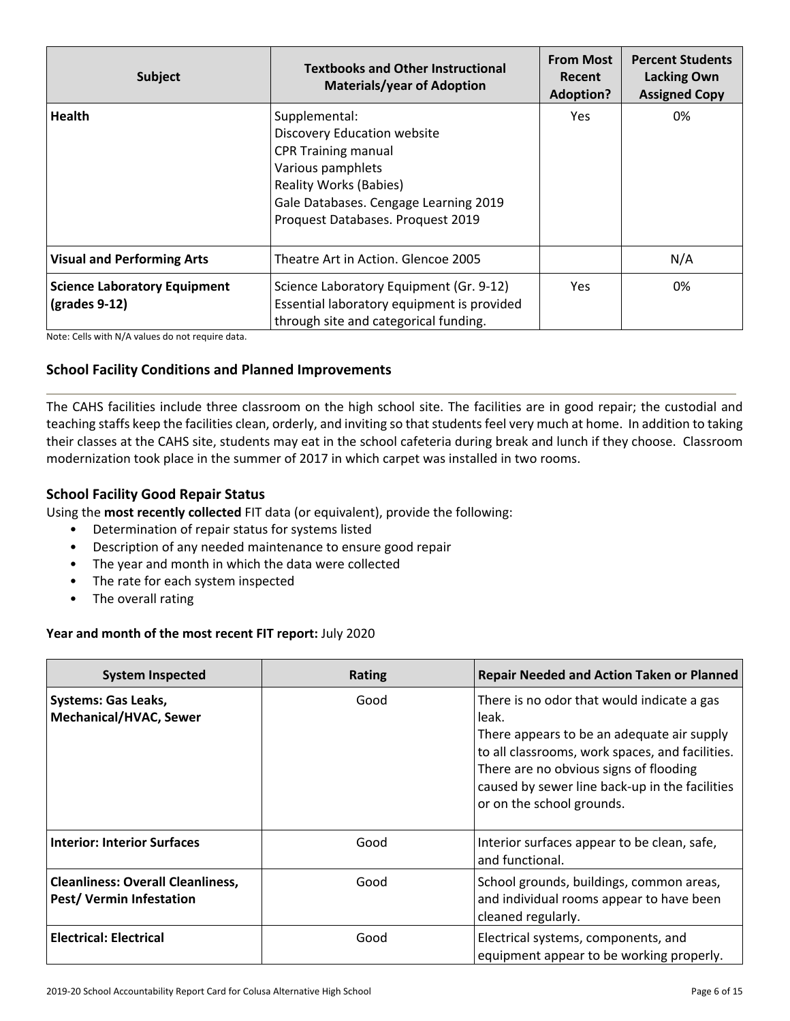| Subject                                                | <b>Textbooks and Other Instructional</b><br><b>Materials/year of Adoption</b>                                                                                                                                  | <b>From Most</b><br>Recent<br><b>Adoption?</b> | <b>Percent Students</b><br><b>Lacking Own</b><br><b>Assigned Copy</b> |
|--------------------------------------------------------|----------------------------------------------------------------------------------------------------------------------------------------------------------------------------------------------------------------|------------------------------------------------|-----------------------------------------------------------------------|
| <b>Health</b>                                          | Supplemental:<br>Discovery Education website<br><b>CPR Training manual</b><br>Various pamphlets<br><b>Reality Works (Babies)</b><br>Gale Databases. Cengage Learning 2019<br>Proquest Databases. Proquest 2019 | Yes.                                           | 0%                                                                    |
| <b>Visual and Performing Arts</b>                      | Theatre Art in Action. Glencoe 2005                                                                                                                                                                            |                                                | N/A                                                                   |
| <b>Science Laboratory Equipment</b><br>$(grades 9-12)$ | Science Laboratory Equipment (Gr. 9-12)<br>Essential laboratory equipment is provided<br>through site and categorical funding.                                                                                 | Yes.                                           | 0%                                                                    |

Note: Cells with N/A values do not require data.

## **School Facility Conditions and Planned Improvements**

The CAHS facilities include three classroom on the high school site. The facilities are in good repair; the custodial and teaching staffs keep the facilities clean, orderly, and inviting so that students feel very much at home. In addition to taking their classes at the CAHS site, students may eat in the school cafeteria during break and lunch if they choose. Classroom modernization took place in the summer of 2017 in which carpet was installed in two rooms.

## **School Facility Good Repair Status**

Using the **most recently collected** FIT data (or equivalent), provide the following:

- Determination of repair status for systems listed
- Description of any needed maintenance to ensure good repair
- The year and month in which the data were collected
- The rate for each system inspected
- The overall rating

#### **Year and month of the most recent FIT report:** July 2020

| <b>System Inspected</b>                                                     | <b>Rating</b> | <b>Repair Needed and Action Taken or Planned</b>                                                                                                                                                                                                                              |
|-----------------------------------------------------------------------------|---------------|-------------------------------------------------------------------------------------------------------------------------------------------------------------------------------------------------------------------------------------------------------------------------------|
| <b>Systems: Gas Leaks,</b><br><b>Mechanical/HVAC, Sewer</b>                 | Good          | There is no odor that would indicate a gas<br>leak.<br>There appears to be an adequate air supply<br>to all classrooms, work spaces, and facilities.<br>There are no obvious signs of flooding<br>caused by sewer line back-up in the facilities<br>or on the school grounds. |
| <b>Interior: Interior Surfaces</b>                                          | Good          | Interior surfaces appear to be clean, safe,<br>and functional.                                                                                                                                                                                                                |
| <b>Cleanliness: Overall Cleanliness,</b><br><b>Pest/ Vermin Infestation</b> | Good          | School grounds, buildings, common areas,<br>and individual rooms appear to have been<br>cleaned regularly.                                                                                                                                                                    |
| <b>Electrical: Electrical</b>                                               | Good          | Electrical systems, components, and<br>equipment appear to be working properly.                                                                                                                                                                                               |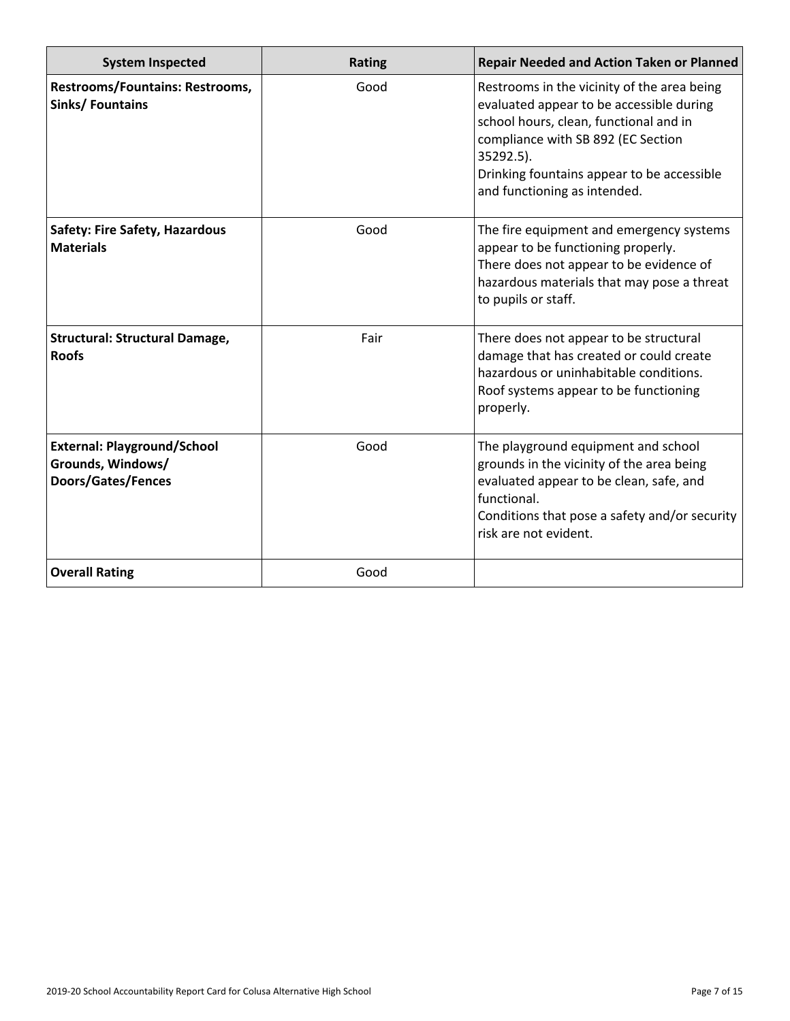| <b>System Inspected</b>                                                              | <b>Rating</b> | <b>Repair Needed and Action Taken or Planned</b>                                                                                                                                                                                                                   |
|--------------------------------------------------------------------------------------|---------------|--------------------------------------------------------------------------------------------------------------------------------------------------------------------------------------------------------------------------------------------------------------------|
| <b>Restrooms/Fountains: Restrooms,</b><br><b>Sinks/ Fountains</b>                    | Good          | Restrooms in the vicinity of the area being<br>evaluated appear to be accessible during<br>school hours, clean, functional and in<br>compliance with SB 892 (EC Section<br>35292.5).<br>Drinking fountains appear to be accessible<br>and functioning as intended. |
| <b>Safety: Fire Safety, Hazardous</b><br><b>Materials</b>                            | Good          | The fire equipment and emergency systems<br>appear to be functioning properly.<br>There does not appear to be evidence of<br>hazardous materials that may pose a threat<br>to pupils or staff.                                                                     |
| <b>Structural: Structural Damage,</b><br><b>Roofs</b>                                | Fair          | There does not appear to be structural<br>damage that has created or could create<br>hazardous or uninhabitable conditions.<br>Roof systems appear to be functioning<br>properly.                                                                                  |
| <b>External: Playground/School</b><br>Grounds, Windows/<br><b>Doors/Gates/Fences</b> | Good          | The playground equipment and school<br>grounds in the vicinity of the area being<br>evaluated appear to be clean, safe, and<br>functional.<br>Conditions that pose a safety and/or security<br>risk are not evident.                                               |
| <b>Overall Rating</b>                                                                | Good          |                                                                                                                                                                                                                                                                    |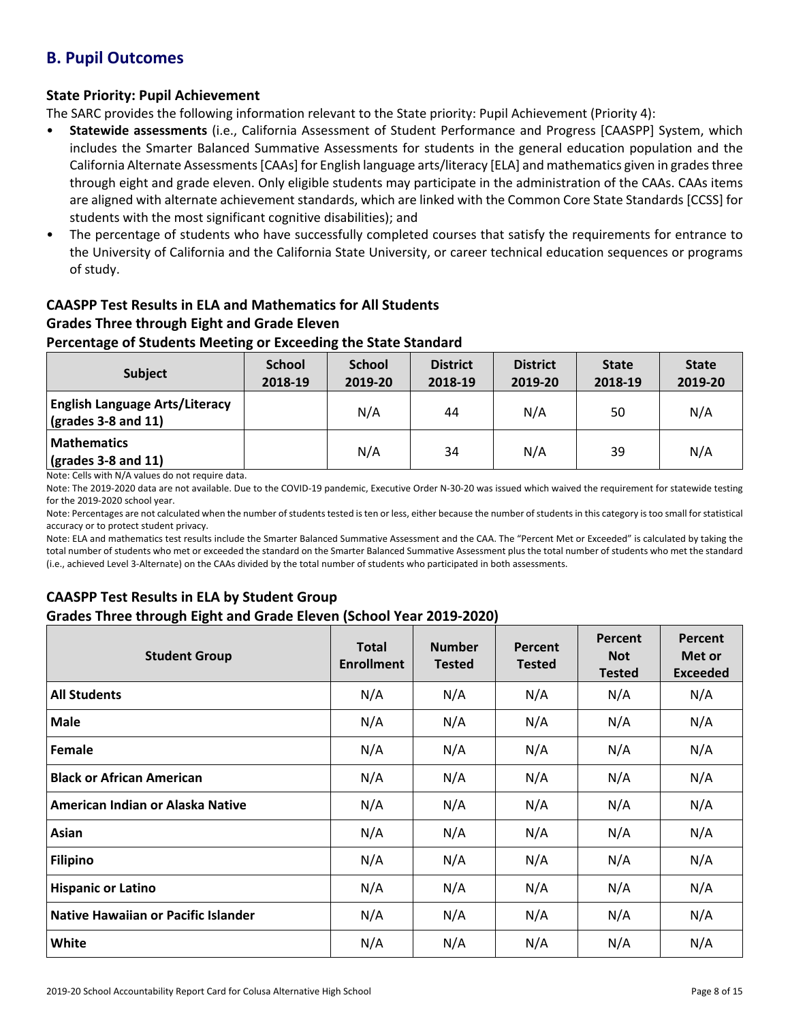## **B. Pupil Outcomes**

## **State Priority: Pupil Achievement**

The SARC provides the following information relevant to the State priority: Pupil Achievement (Priority 4):

- **Statewide assessments** (i.e., California Assessment of Student Performance and Progress [CAASPP] System, which includes the Smarter Balanced Summative Assessments for students in the general education population and the California Alternate Assessments [CAAs] for English language arts/literacy [ELA] and mathematics given in grades three through eight and grade eleven. Only eligible students may participate in the administration of the CAAs. CAAs items are aligned with alternate achievement standards, which are linked with the Common Core State Standards [CCSS] for students with the most significant cognitive disabilities); and
- The percentage of students who have successfully completed courses that satisfy the requirements for entrance to the University of California and the California State University, or career technical education sequences or programs of study.

# **CAASPP Test Results in ELA and Mathematics for All Students**

# **Grades Three through Eight and Grade Eleven**

## **Percentage of Students Meeting or Exceeding the State Standard**

| <b>Subject</b>                                                                | <b>School</b><br>2018-19 | <b>School</b><br>2019-20 | <b>District</b><br>2018-19 | <b>District</b><br>2019-20 | <b>State</b><br>2018-19 | <b>State</b><br>2019-20 |
|-------------------------------------------------------------------------------|--------------------------|--------------------------|----------------------------|----------------------------|-------------------------|-------------------------|
| <b>English Language Arts/Literacy</b><br>$\left($ grades 3-8 and 11 $\right)$ |                          | N/A                      | 44                         | N/A                        | 50                      | N/A                     |
| <b>Mathematics</b><br>$\sqrt{(grades 3-8 and 11)}$                            |                          | N/A                      | 34                         | N/A                        | 39                      | N/A                     |

Note: Cells with N/A values do not require data.

Note: The 2019-2020 data are not available. Due to the COVID-19 pandemic, Executive Order N-30-20 was issued which waived the requirement for statewide testing for the 2019-2020 school year.

Note: Percentages are not calculated when the number of students tested is ten or less, either because the number of students in this category is too small for statistical accuracy or to protect student privacy.

Note: ELA and mathematics test results include the Smarter Balanced Summative Assessment and the CAA. The "Percent Met or Exceeded" is calculated by taking the total number of students who met or exceeded the standard on the Smarter Balanced Summative Assessment plus the total number of students who met the standard (i.e., achieved Level 3-Alternate) on the CAAs divided by the total number of students who participated in both assessments.

## **CAASPP Test Results in ELA by Student Group Grades Three through Eight and Grade Eleven (School Year 2019-2020)**

| <b>Student Group</b>                       | <b>Total</b><br><b>Enrollment</b> | <b>Number</b><br><b>Tested</b> | Percent<br><b>Tested</b> | Percent<br><b>Not</b><br><b>Tested</b> | Percent<br>Met or<br><b>Exceeded</b> |
|--------------------------------------------|-----------------------------------|--------------------------------|--------------------------|----------------------------------------|--------------------------------------|
| <b>All Students</b>                        | N/A                               | N/A                            | N/A                      | N/A                                    | N/A                                  |
| <b>Male</b>                                | N/A                               | N/A                            | N/A                      | N/A                                    | N/A                                  |
| Female                                     | N/A                               | N/A                            | N/A                      | N/A                                    | N/A                                  |
| <b>Black or African American</b>           | N/A                               | N/A                            | N/A                      | N/A                                    | N/A                                  |
| American Indian or Alaska Native           | N/A                               | N/A                            | N/A                      | N/A                                    | N/A                                  |
| Asian                                      | N/A                               | N/A                            | N/A                      | N/A                                    | N/A                                  |
| <b>Filipino</b>                            | N/A                               | N/A                            | N/A                      | N/A                                    | N/A                                  |
| <b>Hispanic or Latino</b>                  | N/A                               | N/A                            | N/A                      | N/A                                    | N/A                                  |
| <b>Native Hawaiian or Pacific Islander</b> | N/A                               | N/A                            | N/A                      | N/A                                    | N/A                                  |
| White                                      | N/A                               | N/A                            | N/A                      | N/A                                    | N/A                                  |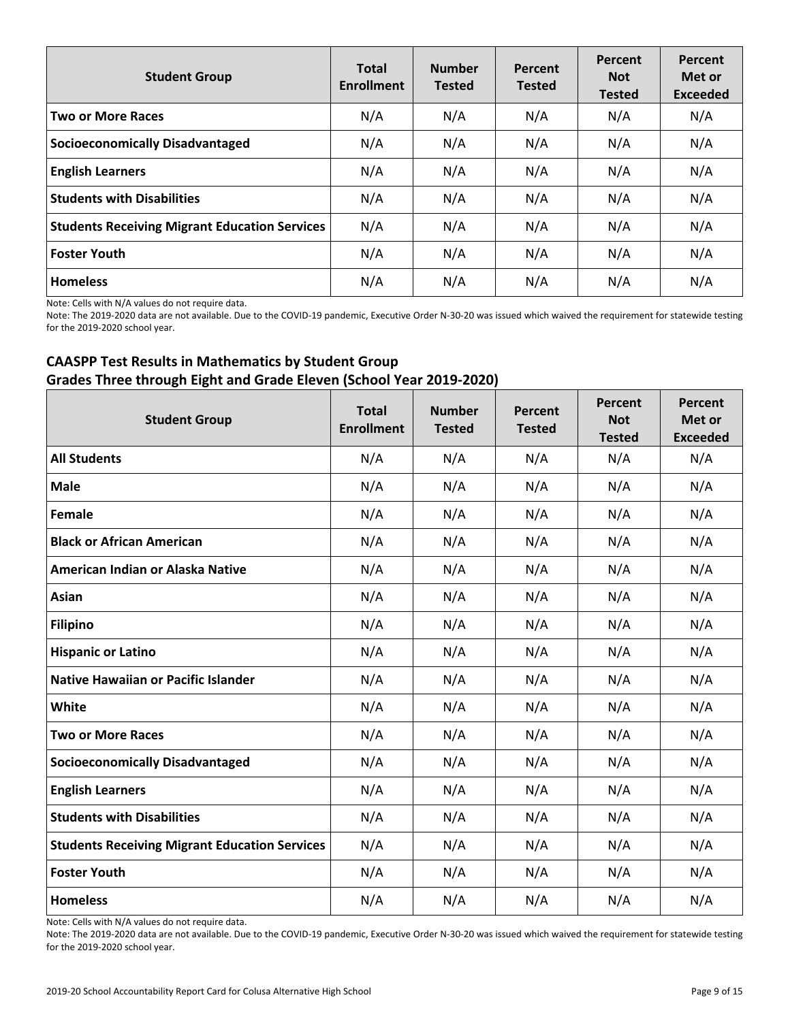| <b>Student Group</b>                                 | <b>Total</b><br><b>Enrollment</b> | <b>Number</b><br><b>Tested</b> | Percent<br><b>Tested</b> | Percent<br><b>Not</b><br><b>Tested</b> | Percent<br>Met or<br><b>Exceeded</b> |
|------------------------------------------------------|-----------------------------------|--------------------------------|--------------------------|----------------------------------------|--------------------------------------|
| <b>Two or More Races</b>                             | N/A                               | N/A                            | N/A                      | N/A                                    | N/A                                  |
| <b>Socioeconomically Disadvantaged</b>               | N/A                               | N/A                            | N/A                      | N/A                                    | N/A                                  |
| <b>English Learners</b>                              | N/A                               | N/A                            | N/A                      | N/A                                    | N/A                                  |
| <b>Students with Disabilities</b>                    | N/A                               | N/A                            | N/A                      | N/A                                    | N/A                                  |
| <b>Students Receiving Migrant Education Services</b> | N/A                               | N/A                            | N/A                      | N/A                                    | N/A                                  |
| <b>Foster Youth</b>                                  | N/A                               | N/A                            | N/A                      | N/A                                    | N/A                                  |
| <b>Homeless</b>                                      | N/A                               | N/A                            | N/A                      | N/A                                    | N/A                                  |

Note: Cells with N/A values do not require data.

Note: The 2019-2020 data are not available. Due to the COVID-19 pandemic, Executive Order N-30-20 was issued which waived the requirement for statewide testing for the 2019-2020 school year.

## **CAASPP Test Results in Mathematics by Student Group Grades Three through Eight and Grade Eleven (School Year 2019-2020)**

| <b>Student Group</b>                                 | <b>Total</b><br><b>Enrollment</b> | <b>Number</b><br><b>Tested</b> | Percent<br><b>Tested</b> | Percent<br><b>Not</b><br><b>Tested</b> | Percent<br>Met or<br><b>Exceeded</b> |
|------------------------------------------------------|-----------------------------------|--------------------------------|--------------------------|----------------------------------------|--------------------------------------|
| <b>All Students</b>                                  | N/A                               | N/A                            | N/A                      | N/A                                    | N/A                                  |
| <b>Male</b>                                          | N/A                               | N/A                            | N/A                      | N/A                                    | N/A                                  |
| Female                                               | N/A                               | N/A                            | N/A                      | N/A                                    | N/A                                  |
| <b>Black or African American</b>                     | N/A                               | N/A                            | N/A                      | N/A                                    | N/A                                  |
| American Indian or Alaska Native                     | N/A                               | N/A                            | N/A                      | N/A                                    | N/A                                  |
| Asian                                                | N/A                               | N/A                            | N/A                      | N/A                                    | N/A                                  |
| <b>Filipino</b>                                      | N/A                               | N/A                            | N/A                      | N/A                                    | N/A                                  |
| <b>Hispanic or Latino</b>                            | N/A                               | N/A                            | N/A                      | N/A                                    | N/A                                  |
| <b>Native Hawaiian or Pacific Islander</b>           | N/A                               | N/A                            | N/A                      | N/A                                    | N/A                                  |
| White                                                | N/A                               | N/A                            | N/A                      | N/A                                    | N/A                                  |
| <b>Two or More Races</b>                             | N/A                               | N/A                            | N/A                      | N/A                                    | N/A                                  |
| <b>Socioeconomically Disadvantaged</b>               | N/A                               | N/A                            | N/A                      | N/A                                    | N/A                                  |
| <b>English Learners</b>                              | N/A                               | N/A                            | N/A                      | N/A                                    | N/A                                  |
| <b>Students with Disabilities</b>                    | N/A                               | N/A                            | N/A                      | N/A                                    | N/A                                  |
| <b>Students Receiving Migrant Education Services</b> | N/A                               | N/A                            | N/A                      | N/A                                    | N/A                                  |
| <b>Foster Youth</b>                                  | N/A                               | N/A                            | N/A                      | N/A                                    | N/A                                  |
| <b>Homeless</b>                                      | N/A                               | N/A                            | N/A                      | N/A                                    | N/A                                  |

Note: Cells with N/A values do not require data.

Note: The 2019-2020 data are not available. Due to the COVID-19 pandemic, Executive Order N-30-20 was issued which waived the requirement for statewide testing for the 2019-2020 school year.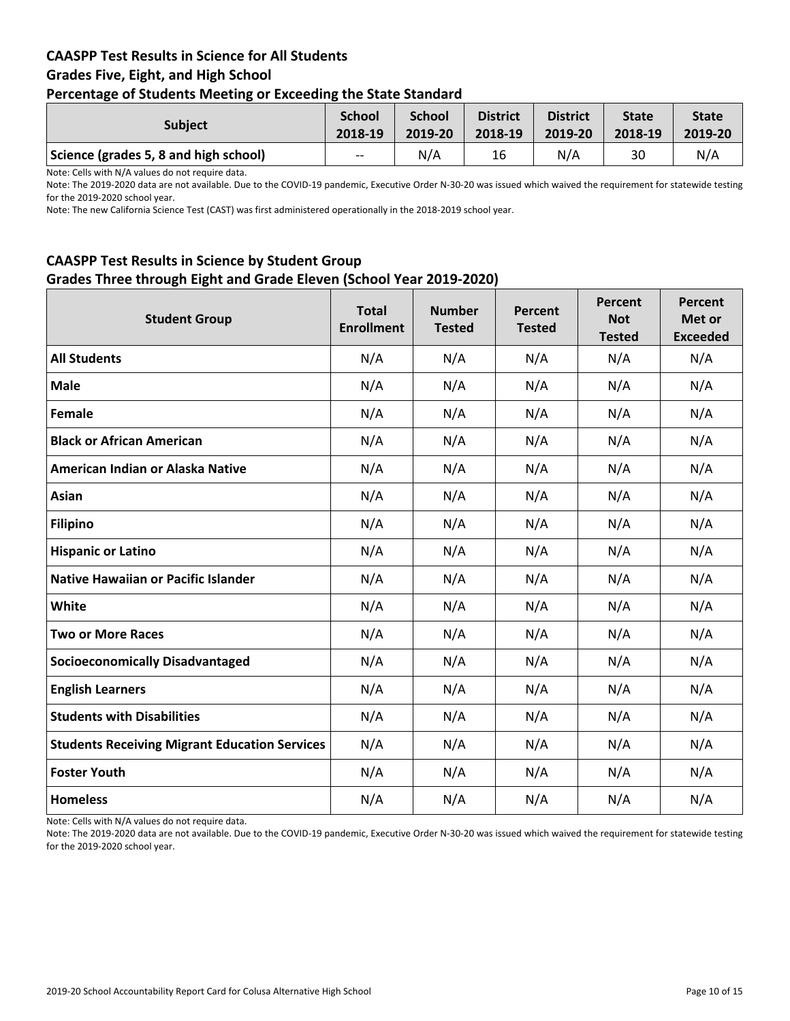## **CAASPP Test Results in Science for All Students Grades Five, Eight, and High School Percentage of Students Meeting or Exceeding the State Standard**

| <b>Subject</b>                        | <b>School</b><br>2018-19 | <b>School</b><br>2019-20 | <b>District</b><br>2018-19 | <b>District</b><br>2019-20 | <b>State</b><br>2018-19 | <b>State</b><br>2019-20 |
|---------------------------------------|--------------------------|--------------------------|----------------------------|----------------------------|-------------------------|-------------------------|
| Science (grades 5, 8 and high school) | $--$                     | N/A                      | 16                         | N/A                        | 30                      | N/A                     |

Note: Cells with N/A values do not require data.

Note: The 2019-2020 data are not available. Due to the COVID-19 pandemic, Executive Order N-30-20 was issued which waived the requirement for statewide testing for the 2019-2020 school year.

Note: The new California Science Test (CAST) was first administered operationally in the 2018-2019 school year.

## **CAASPP Test Results in Science by Student Group Grades Three through Eight and Grade Eleven (School Year 2019-2020)**

| <b>Student Group</b>                                 | <b>Total</b><br><b>Enrollment</b> | <b>Number</b><br><b>Tested</b> | Percent<br><b>Tested</b> | Percent<br><b>Not</b><br><b>Tested</b> | Percent<br>Met or<br><b>Exceeded</b> |
|------------------------------------------------------|-----------------------------------|--------------------------------|--------------------------|----------------------------------------|--------------------------------------|
| <b>All Students</b>                                  | N/A                               | N/A                            | N/A                      | N/A                                    | N/A                                  |
| <b>Male</b>                                          | N/A                               | N/A                            | N/A                      | N/A                                    | N/A                                  |
| Female                                               | N/A                               | N/A                            | N/A                      | N/A                                    | N/A                                  |
| <b>Black or African American</b>                     | N/A                               | N/A                            | N/A                      | N/A                                    | N/A                                  |
| American Indian or Alaska Native                     | N/A                               | N/A                            | N/A                      | N/A                                    | N/A                                  |
| Asian                                                | N/A                               | N/A                            | N/A                      | N/A                                    | N/A                                  |
| <b>Filipino</b>                                      | N/A                               | N/A                            | N/A                      | N/A                                    | N/A                                  |
| <b>Hispanic or Latino</b>                            | N/A                               | N/A                            | N/A                      | N/A                                    | N/A                                  |
| <b>Native Hawaiian or Pacific Islander</b>           | N/A                               | N/A                            | N/A                      | N/A                                    | N/A                                  |
| White                                                | N/A                               | N/A                            | N/A                      | N/A                                    | N/A                                  |
| <b>Two or More Races</b>                             | N/A                               | N/A                            | N/A                      | N/A                                    | N/A                                  |
| <b>Socioeconomically Disadvantaged</b>               | N/A                               | N/A                            | N/A                      | N/A                                    | N/A                                  |
| <b>English Learners</b>                              | N/A                               | N/A                            | N/A                      | N/A                                    | N/A                                  |
| <b>Students with Disabilities</b>                    | N/A                               | N/A                            | N/A                      | N/A                                    | N/A                                  |
| <b>Students Receiving Migrant Education Services</b> | N/A                               | N/A                            | N/A                      | N/A                                    | N/A                                  |
| <b>Foster Youth</b>                                  | N/A                               | N/A                            | N/A                      | N/A                                    | N/A                                  |
| <b>Homeless</b>                                      | N/A                               | N/A                            | N/A                      | N/A                                    | N/A                                  |

Note: Cells with N/A values do not require data.

Note: The 2019-2020 data are not available. Due to the COVID-19 pandemic, Executive Order N-30-20 was issued which waived the requirement for statewide testing for the 2019-2020 school year.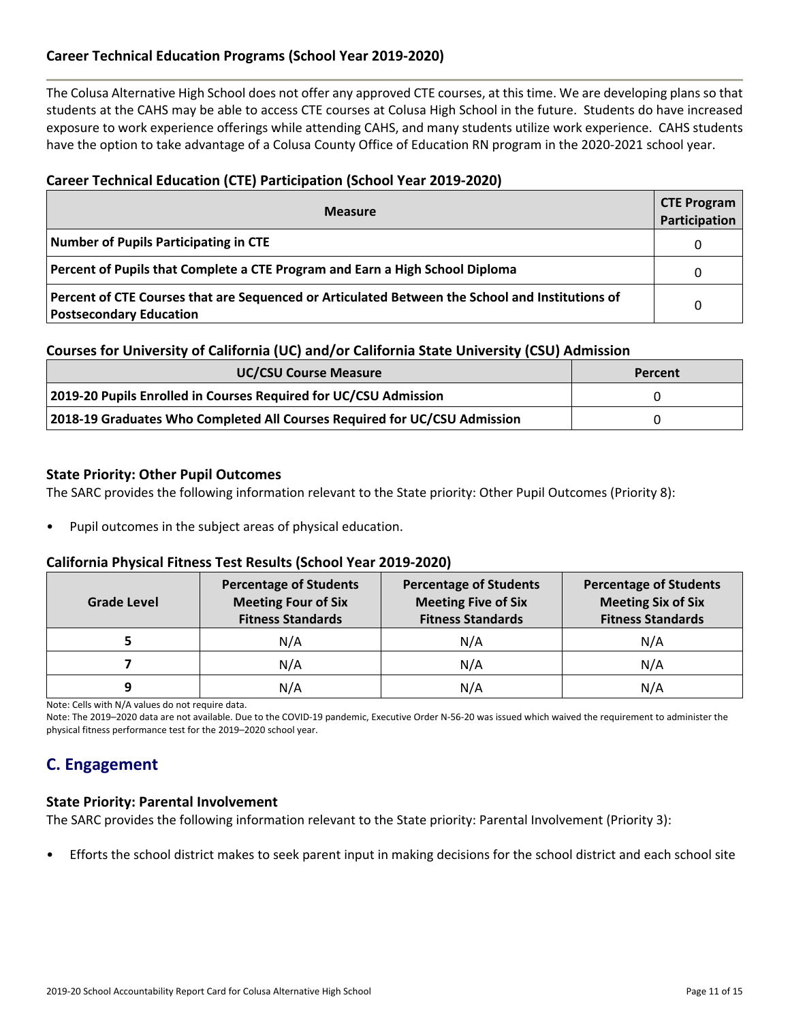## **Career Technical Education Programs (School Year 2019-2020)**

The Colusa Alternative High School does not offer any approved CTE courses, at this time. We are developing plans so that students at the CAHS may be able to access CTE courses at Colusa High School in the future. Students do have increased exposure to work experience offerings while attending CAHS, and many students utilize work experience. CAHS students have the option to take advantage of a Colusa County Office of Education RN program in the 2020-2021 school year.

## **Career Technical Education (CTE) Participation (School Year 2019-2020)**

| <b>Measure</b>                                                                                                                    | <b>CTE Program</b><br>Participation |
|-----------------------------------------------------------------------------------------------------------------------------------|-------------------------------------|
| Number of Pupils Participating in CTE                                                                                             | 0                                   |
| Percent of Pupils that Complete a CTE Program and Earn a High School Diploma                                                      | $\Omega$                            |
| Percent of CTE Courses that are Sequenced or Articulated Between the School and Institutions of<br><b>Postsecondary Education</b> | $\Omega$                            |

#### **Courses for University of California (UC) and/or California State University (CSU) Admission**

| <b>UC/CSU Course Measure</b>                                              | Percent |
|---------------------------------------------------------------------------|---------|
| 2019-20 Pupils Enrolled in Courses Required for UC/CSU Admission          |         |
| 2018-19 Graduates Who Completed All Courses Required for UC/CSU Admission |         |

#### **State Priority: Other Pupil Outcomes**

The SARC provides the following information relevant to the State priority: Other Pupil Outcomes (Priority 8):

• Pupil outcomes in the subject areas of physical education.

#### **California Physical Fitness Test Results (School Year 2019-2020)**

| Grade Level | <b>Percentage of Students</b><br><b>Meeting Four of Six</b><br><b>Fitness Standards</b> | <b>Percentage of Students</b><br><b>Meeting Five of Six</b><br><b>Fitness Standards</b> | <b>Percentage of Students</b><br><b>Meeting Six of Six</b><br><b>Fitness Standards</b> |
|-------------|-----------------------------------------------------------------------------------------|-----------------------------------------------------------------------------------------|----------------------------------------------------------------------------------------|
|             | N/A                                                                                     | N/A                                                                                     | N/A                                                                                    |
|             | N/A                                                                                     | N/A                                                                                     | N/A                                                                                    |
| q           | N/A                                                                                     | N/A                                                                                     | N/A                                                                                    |

Note: Cells with N/A values do not require data.

Note: The 2019–2020 data are not available. Due to the COVID-19 pandemic, Executive Order N-56-20 was issued which waived the requirement to administer the physical fitness performance test for the 2019–2020 school year.

## **C. Engagement**

#### **State Priority: Parental Involvement**

The SARC provides the following information relevant to the State priority: Parental Involvement (Priority 3):

• Efforts the school district makes to seek parent input in making decisions for the school district and each school site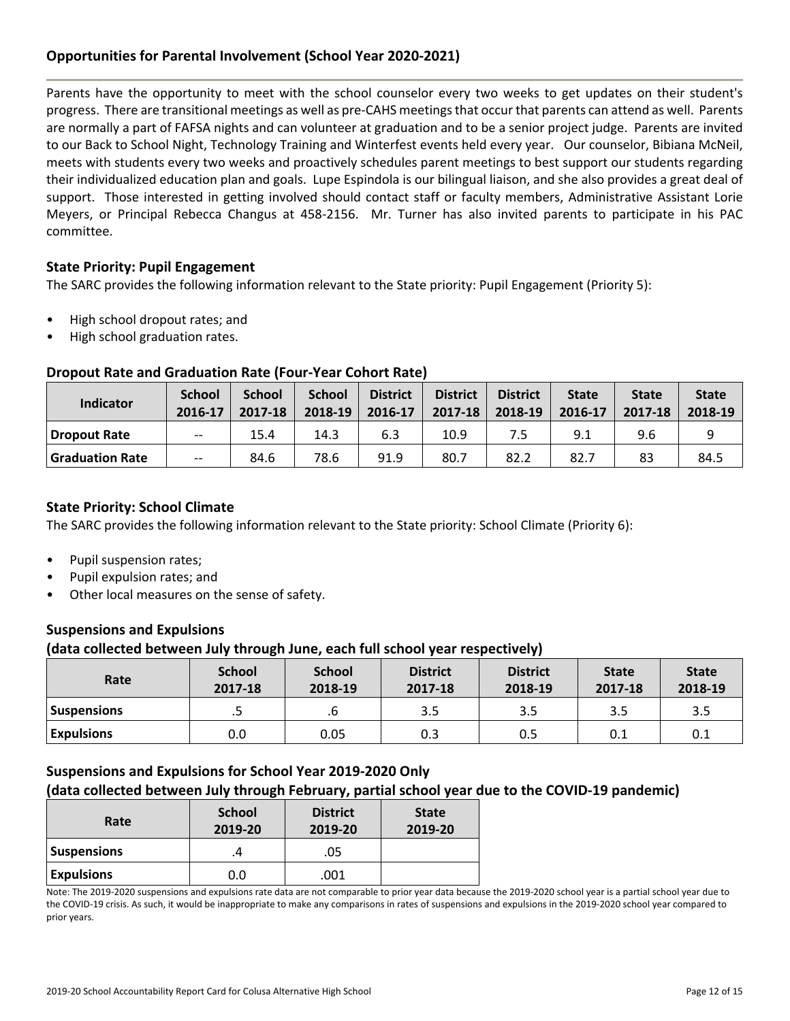## **Opportunities for Parental Involvement (School Year 2020-2021)**

Parents have the opportunity to meet with the school counselor every two weeks to get updates on their student's progress. There are transitional meetings as well as pre-CAHS meetingsthat occur that parents can attend as well. Parents are normally a part of FAFSA nights and can volunteer at graduation and to be a senior project judge. Parents are invited to our Back to School Night, Technology Training and Winterfest events held every year. Our counselor, Bibiana McNeil, meets with students every two weeks and proactively schedules parent meetings to best support our students regarding their individualized education plan and goals. Lupe Espindola is our bilingual liaison, and she also provides a great deal of support. Those interested in getting involved should contact staff or faculty members, Administrative Assistant Lorie Meyers, or Principal Rebecca Changus at 458-2156. Mr. Turner has also invited parents to participate in his PAC committee.

## **State Priority: Pupil Engagement**

The SARC provides the following information relevant to the State priority: Pupil Engagement (Priority 5):

- High school dropout rates; and
- High school graduation rates.

## **Dropout Rate and Graduation Rate (Four-Year Cohort Rate)**

| Indicator              | <b>School</b><br>2016-17 | <b>School</b><br>2017-18 | <b>School</b><br>2018-19 | <b>District</b><br>2016-17 | <b>District</b><br>2017-18 | <b>District</b><br>2018-19 | <b>State</b><br>2016-17 | <b>State</b><br>2017-18 | <b>State</b><br>2018-19 |
|------------------------|--------------------------|--------------------------|--------------------------|----------------------------|----------------------------|----------------------------|-------------------------|-------------------------|-------------------------|
| Dropout Rate           | $- -$                    | 15.4                     | 14.3                     | 6.3                        | 10.9                       |                            | 9.1                     | 9.6                     |                         |
| <b>Graduation Rate</b> | $- -$                    | 84.6                     | 78.6                     | 91.9                       | 80.7                       | 82.2                       | 82.7                    | 83                      | 84.5                    |

## **State Priority: School Climate**

The SARC provides the following information relevant to the State priority: School Climate (Priority 6):

- Pupil suspension rates;
- Pupil expulsion rates; and
- Other local measures on the sense of safety.

## **Suspensions and Expulsions**

#### **(data collected between July through June, each full school year respectively)**

| Rate               | <b>School</b><br>2017-18 | <b>School</b><br>2018-19 | <b>District</b><br>2017-18 | <b>District</b><br>2018-19 | <b>State</b><br>2017-18 | <b>State</b><br>2018-19 |
|--------------------|--------------------------|--------------------------|----------------------------|----------------------------|-------------------------|-------------------------|
| <b>Suspensions</b> | .5                       |                          | 3.5                        | 3.5                        | 3.5                     | 3.5                     |
| <b>Expulsions</b>  | 0.0                      | 0.05                     | 0.3                        | 0.5                        | 0.1                     | 0.1                     |

#### **Suspensions and Expulsions for School Year 2019-2020 Only (data collected between July through February, partial school year due to the COVID-19 pandemic)**

| Rate               | <b>School</b><br>2019-20 | <b>District</b><br>2019-20 | <b>State</b><br>2019-20 |
|--------------------|--------------------------|----------------------------|-------------------------|
| <b>Suspensions</b> |                          | .05                        |                         |
| <b>Expulsions</b>  | 0.0                      | .001                       |                         |

Note: The 2019-2020 suspensions and expulsions rate data are not comparable to prior year data because the 2019-2020 school year is a partial school year due to the COVID-19 crisis. As such, it would be inappropriate to make any comparisons in rates of suspensions and expulsions in the 2019-2020 school year compared to prior years.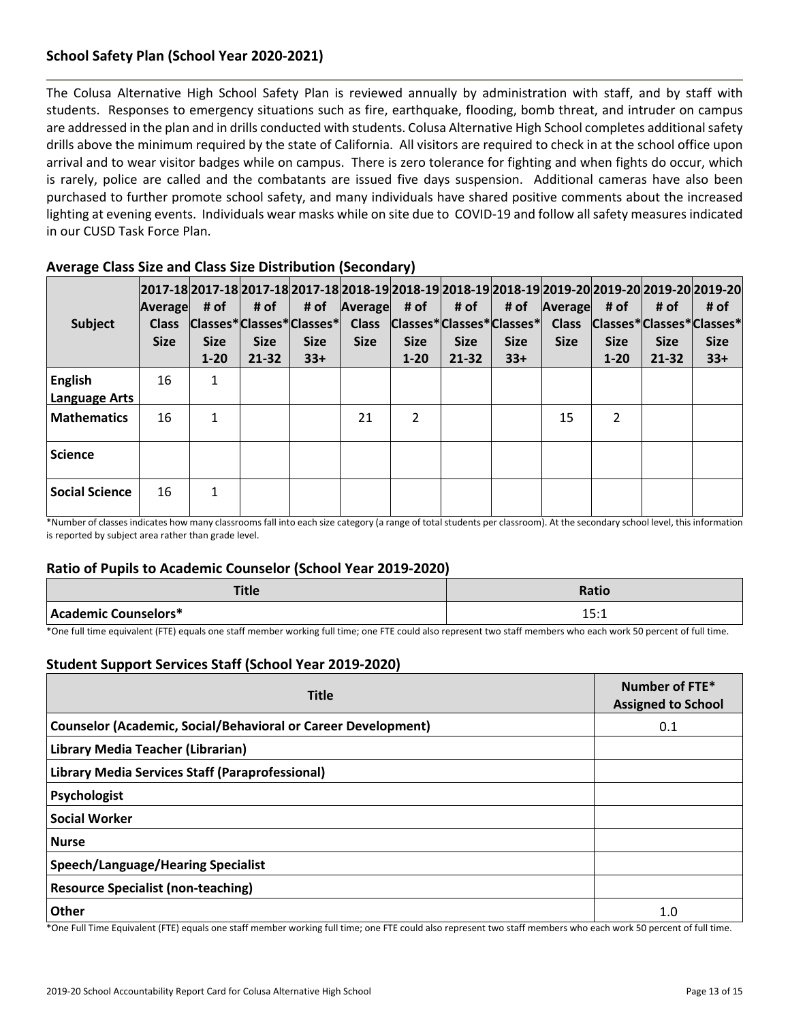## **School Safety Plan (School Year 2020-2021)**

The Colusa Alternative High School Safety Plan is reviewed annually by administration with staff, and by staff with students. Responses to emergency situations such as fire, earthquake, flooding, bomb threat, and intruder on campus are addressed in the plan and in drills conducted with students. Colusa Alternative High School completes additional safety drills above the minimum required by the state of California. All visitors are required to check in at the school office upon arrival and to wear visitor badges while on campus. There is zero tolerance for fighting and when fights do occur, which is rarely, police are called and the combatants are issued five days suspension. Additional cameras have also been purchased to further promote school safety, and many individuals have shared positive comments about the increased lighting at evening events. Individuals wear masks while on site due to COVID-19 and follow all safety measures indicated in our CUSD Task Force Plan.

| Subject                                | Average<br><b>Class</b><br><b>Size</b> | # of<br><b>Size</b><br>$1 - 20$ | # of<br><b>Size</b><br>$21 - 32$ | 2017-18 2017-18 2017-18 2017-18 2018-19 2018-19 2018-19 2018-19 2019-20 2019-20 2019-20 2019-20<br># of<br>Classes*Classes*Classes*<br><b>Size</b><br>$33+$ | Average<br><b>Class</b><br><b>Size</b> | # of  <br><b>Size</b><br>$1 - 20$ | # of<br><b>Size</b><br>$21 - 32$ | # of<br>$ Classes* Classes* Classes* $<br><b>Size</b><br>$33+$ | Average<br><b>Class</b><br><b>Size</b> | # of<br><b>Size</b><br>$1 - 20$ | # of<br>Classes*Classes*Classes*<br><b>Size</b><br>$21 - 32$ | # of<br><b>Size</b><br>$33+$ |
|----------------------------------------|----------------------------------------|---------------------------------|----------------------------------|-------------------------------------------------------------------------------------------------------------------------------------------------------------|----------------------------------------|-----------------------------------|----------------------------------|----------------------------------------------------------------|----------------------------------------|---------------------------------|--------------------------------------------------------------|------------------------------|
| <b>English</b><br><b>Language Arts</b> | 16                                     | 1                               |                                  |                                                                                                                                                             |                                        |                                   |                                  |                                                                |                                        |                                 |                                                              |                              |
| <b>Mathematics</b>                     | 16                                     | 1                               |                                  |                                                                                                                                                             | 21                                     | $\overline{2}$                    |                                  |                                                                | 15                                     | $\overline{2}$                  |                                                              |                              |
| <b>Science</b>                         |                                        |                                 |                                  |                                                                                                                                                             |                                        |                                   |                                  |                                                                |                                        |                                 |                                                              |                              |
| <b>Social Science</b>                  | 16                                     | 1                               |                                  |                                                                                                                                                             |                                        |                                   |                                  |                                                                |                                        |                                 |                                                              |                              |

## **Average Class Size and Class Size Distribution (Secondary)**

\*Number of classes indicates how many classrooms fall into each size category (a range of total students per classroom). At the secondary school level, this information is reported by subject area rather than grade level.

#### **Ratio of Pupils to Academic Counselor (School Year 2019-2020)**

| T11.<br>Title        | <b>Ratio</b>           |
|----------------------|------------------------|
| Academic Counselors* | 1 C . 1<br><b>LJ.L</b> |

\*One full time equivalent (FTE) equals one staff member working full time; one FTE could also represent two staff members who each work 50 percent of full time.

#### **Student Support Services Staff (School Year 2019-2020)**

| <b>Title</b>                                                                                                                                                                                                                                | Number of FTE*<br><b>Assigned to School</b> |  |
|---------------------------------------------------------------------------------------------------------------------------------------------------------------------------------------------------------------------------------------------|---------------------------------------------|--|
| <b>Counselor (Academic, Social/Behavioral or Career Development)</b>                                                                                                                                                                        | 0.1                                         |  |
| Library Media Teacher (Librarian)                                                                                                                                                                                                           |                                             |  |
| Library Media Services Staff (Paraprofessional)                                                                                                                                                                                             |                                             |  |
| Psychologist                                                                                                                                                                                                                                |                                             |  |
| <b>Social Worker</b>                                                                                                                                                                                                                        |                                             |  |
| <b>Nurse</b>                                                                                                                                                                                                                                |                                             |  |
| Speech/Language/Hearing Specialist                                                                                                                                                                                                          |                                             |  |
| <b>Resource Specialist (non-teaching)</b>                                                                                                                                                                                                   |                                             |  |
| Other<br>$\mathcal{L}$ is the set of the contract of the contract of the contract of the contract of the contract of the contract of the contract of the contract of the contract of the contract of the contract of the contract of the co | 1.0                                         |  |

\*One Full Time Equivalent (FTE) equals one staff member working full time; one FTE could also represent two staff members who each work 50 percent of full time.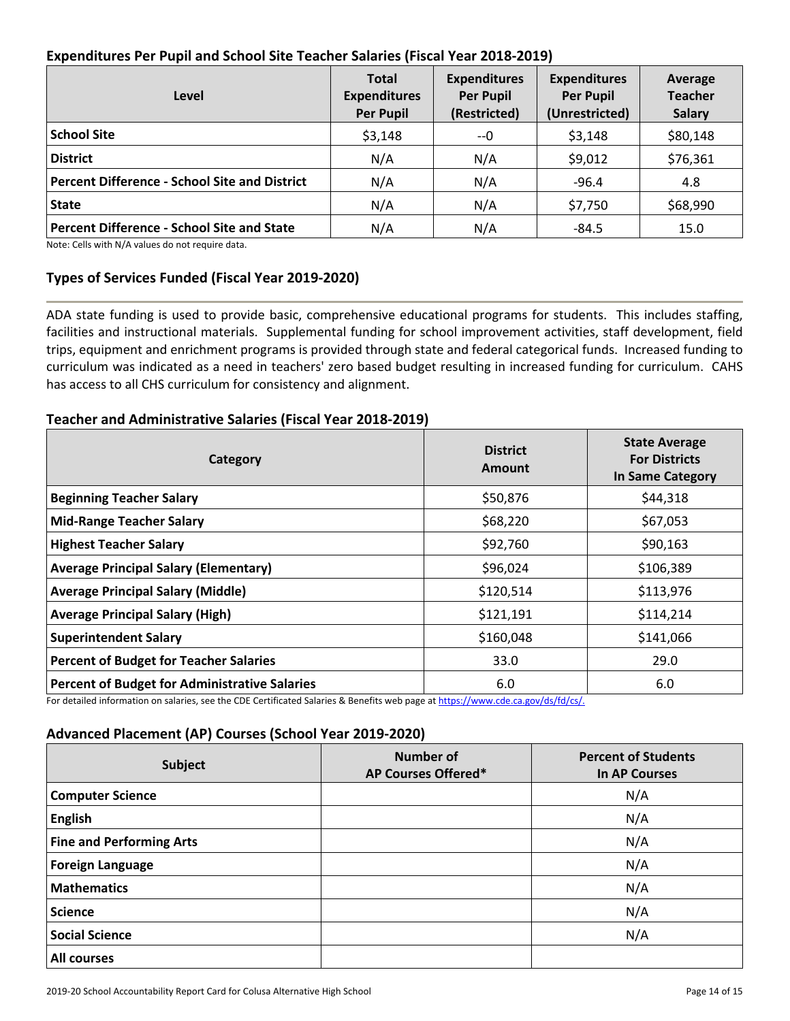## **Expenditures Per Pupil and School Site Teacher Salaries (Fiscal Year 2018-2019)**

| Level                                                | <b>Total</b><br><b>Expenditures</b><br><b>Per Pupil</b> | <b>Expenditures</b><br><b>Per Pupil</b><br>(Restricted) | <b>Expenditures</b><br><b>Per Pupil</b><br>(Unrestricted) | Average<br><b>Teacher</b><br><b>Salary</b> |
|------------------------------------------------------|---------------------------------------------------------|---------------------------------------------------------|-----------------------------------------------------------|--------------------------------------------|
| <b>School Site</b>                                   | \$3,148                                                 | --0                                                     | \$3,148                                                   | \$80,148                                   |
| <b>District</b>                                      | N/A                                                     | N/A                                                     | \$9,012                                                   | \$76,361                                   |
| <b>Percent Difference - School Site and District</b> | N/A                                                     | N/A                                                     | $-96.4$                                                   | 4.8                                        |
| <b>State</b>                                         | N/A                                                     | N/A                                                     | \$7,750                                                   | \$68,990                                   |
| <b>Percent Difference - School Site and State</b>    | N/A                                                     | N/A                                                     | $-84.5$                                                   | 15.0                                       |

Note: Cells with N/A values do not require data.

## **Types of Services Funded (Fiscal Year 2019-2020)**

ADA state funding is used to provide basic, comprehensive educational programs for students. This includes staffing, facilities and instructional materials. Supplemental funding for school improvement activities, staff development, field trips, equipment and enrichment programs is provided through state and federal categorical funds. Increased funding to curriculum was indicated as a need in teachers' zero based budget resulting in increased funding for curriculum. CAHS has access to all CHS curriculum for consistency and alignment.

## **Teacher and Administrative Salaries (Fiscal Year 2018-2019)**

| Category                                             | <b>District</b><br>Amount | <b>State Average</b><br><b>For Districts</b><br><b>In Same Category</b> |  |
|------------------------------------------------------|---------------------------|-------------------------------------------------------------------------|--|
| <b>Beginning Teacher Salary</b>                      | \$50,876                  | \$44,318                                                                |  |
| <b>Mid-Range Teacher Salary</b>                      | \$68,220                  | \$67,053                                                                |  |
| <b>Highest Teacher Salary</b>                        | \$92,760                  | \$90,163                                                                |  |
| <b>Average Principal Salary (Elementary)</b>         | \$96,024                  | \$106,389                                                               |  |
| <b>Average Principal Salary (Middle)</b>             | \$120,514                 | \$113,976                                                               |  |
| <b>Average Principal Salary (High)</b>               | \$121,191                 | \$114,214                                                               |  |
| <b>Superintendent Salary</b>                         | \$160,048                 | \$141,066                                                               |  |
| <b>Percent of Budget for Teacher Salaries</b>        | 33.0                      | 29.0                                                                    |  |
| <b>Percent of Budget for Administrative Salaries</b> | 6.0                       | 6.0                                                                     |  |

For detailed information on salaries, see the CDE Certificated Salaries & Benefits web page at [https://www.cde.ca.gov/ds/fd/cs/.](https://www.cde.ca.gov/ds/fd/cs/)

## **Advanced Placement (AP) Courses (School Year 2019-2020)**

| Subject                         | <b>Number of</b><br>AP Courses Offered* | <b>Percent of Students</b><br><b>In AP Courses</b> |  |  |
|---------------------------------|-----------------------------------------|----------------------------------------------------|--|--|
| <b>Computer Science</b>         |                                         | N/A                                                |  |  |
| <b>English</b>                  |                                         | N/A                                                |  |  |
| <b>Fine and Performing Arts</b> |                                         | N/A                                                |  |  |
| <b>Foreign Language</b>         |                                         | N/A                                                |  |  |
| <b>Mathematics</b>              |                                         | N/A                                                |  |  |
| <b>Science</b>                  |                                         | N/A                                                |  |  |
| <b>Social Science</b>           |                                         | N/A                                                |  |  |
| <b>All courses</b>              |                                         |                                                    |  |  |